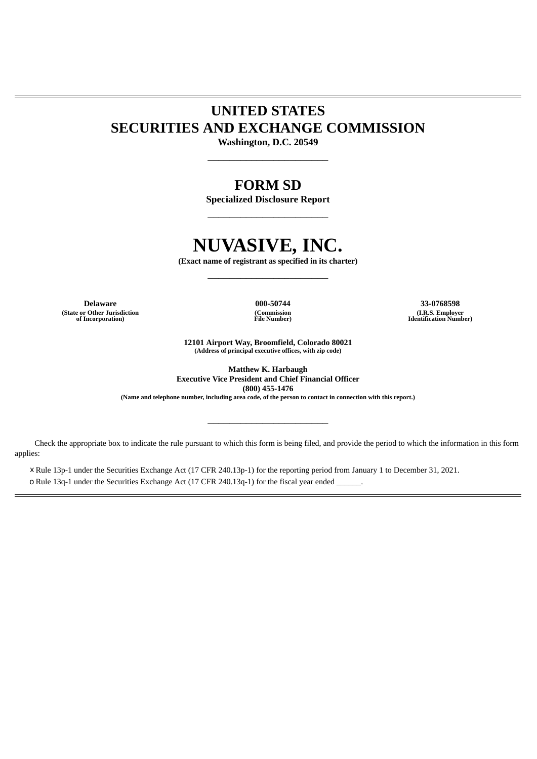# **UNITED STATES SECURITIES AND EXCHANGE COMMISSION**

**Washington, D.C. 20549**  $\overline{\phantom{a}}$  , where  $\overline{\phantom{a}}$  , where  $\overline{\phantom{a}}$  , where  $\overline{\phantom{a}}$  , where  $\overline{\phantom{a}}$ 

# **FORM SD**

**Specialized Disclosure Report** \_\_\_\_\_\_\_\_\_\_\_\_\_\_\_\_\_\_\_\_\_\_

# **NUVASIVE, INC.**

**(Exact name of registrant as specified in its charter)** \_\_\_\_\_\_\_\_\_\_\_\_\_\_\_\_\_\_\_\_\_\_

**Delaware 000-50744 33-0768598 (State or Other Jurisdiction of Incorporation)**

**(Commission File Number)**

**(I.R.S. Employer Identification Number)**

**12101 Airport Way, Broomfield, Colorado 80021 (Address of principal executive offices, with zip code)**

**Matthew K. Harbaugh Executive Vice President and Chief Financial Officer (800) 455-1476**

(Name and telephone number, including area code, of the person to contact in connection with this report.)

 $\overline{\phantom{a}}$  , where  $\overline{\phantom{a}}$  , where  $\overline{\phantom{a}}$  , where  $\overline{\phantom{a}}$  , where  $\overline{\phantom{a}}$ 

Check the appropriate box to indicate the rule pursuant to which this form is being filed, and provide the period to which the information in this form applies:

x Rule 13p-1 under the Securities Exchange Act (17 CFR 240.13p-1) for the reporting period from January 1 to December 31, 2021. o Rule 13q-1 under the Securities Exchange Act (17 CFR 240.13q-1) for the fiscal year ended \_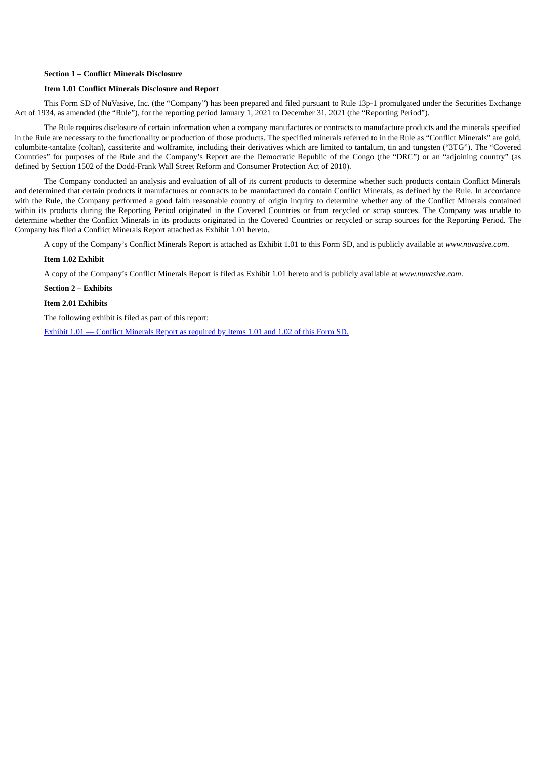### **Section 1 – Conflict Minerals Disclosure**

#### **Item 1.01 Conflict Minerals Disclosure and Report**

This Form SD of NuVasive, Inc. (the "Company") has been prepared and filed pursuant to Rule 13p-1 promulgated under the Securities Exchange Act of 1934, as amended (the "Rule"), for the reporting period January 1, 2021 to December 31, 2021 (the "Reporting Period").

The Rule requires disclosure of certain information when a company manufactures or contracts to manufacture products and the minerals specified in the Rule are necessary to the functionality or production of those products. The specified minerals referred to in the Rule as "Conflict Minerals" are gold, columbite-tantalite (coltan), cassiterite and wolframite, including their derivatives which are limited to tantalum, tin and tungsten ("3TG"). The "Covered Countries" for purposes of the Rule and the Company's Report are the Democratic Republic of the Congo (the "DRC") or an "adjoining country" (as defined by Section 1502 of the Dodd-Frank Wall Street Reform and Consumer Protection Act of 2010).

The Company conducted an analysis and evaluation of all of its current products to determine whether such products contain Conflict Minerals and determined that certain products it manufactures or contracts to be manufactured do contain Conflict Minerals, as defined by the Rule. In accordance with the Rule, the Company performed a good faith reasonable country of origin inquiry to determine whether any of the Conflict Minerals contained within its products during the Reporting Period originated in the Covered Countries or from recycled or scrap sources. The Company was unable to determine whether the Conflict Minerals in its products originated in the Covered Countries or recycled or scrap sources for the Reporting Period. The Company has filed a Conflict Minerals Report attached as Exhibit 1.01 hereto.

A copy of the Company's Conflict Minerals Report is attached as Exhibit 1.01 to this Form SD, and is publicly available at *www.nuvasive.com*.

#### **Item 1.02 Exhibit**

A copy of the Company's Conflict Minerals Report is filed as Exhibit 1.01 hereto and is publicly available at *www.nuvasive.com*.

#### **Section 2 – Exhibits**

#### **Item 2.01 Exhibits**

The following exhibit is filed as part of this report:

Exhibit 1.01 — Conflict [Minerals](#page-3-0) Report as required by Items 1.01 and 1.02 of this Form SD.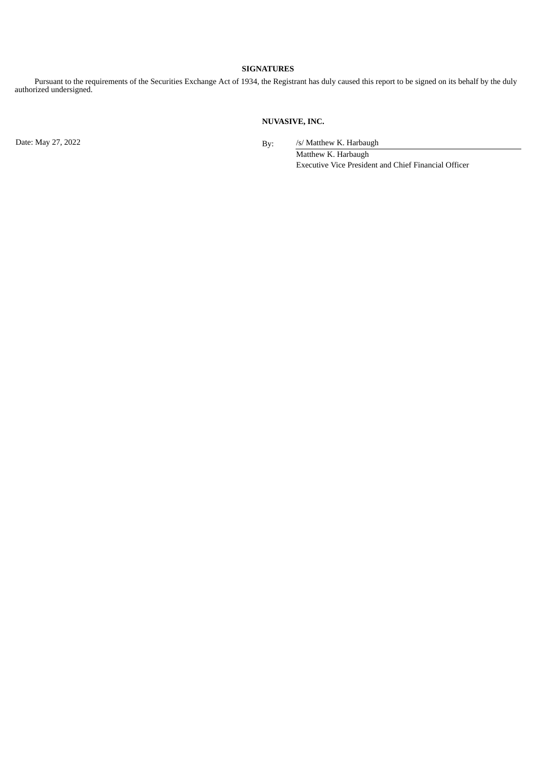## **SIGNATURES**

Pursuant to the requirements of the Securities Exchange Act of 1934, the Registrant has duly caused this report to be signed on its behalf by the duly authorized undersigned.

# **NUVASIVE, INC.**

Date: May 27, 2022 **By:** /s/ Matthew K. Harbaugh

Matthew K. Harbaugh Executive Vice President and Chief Financial Officer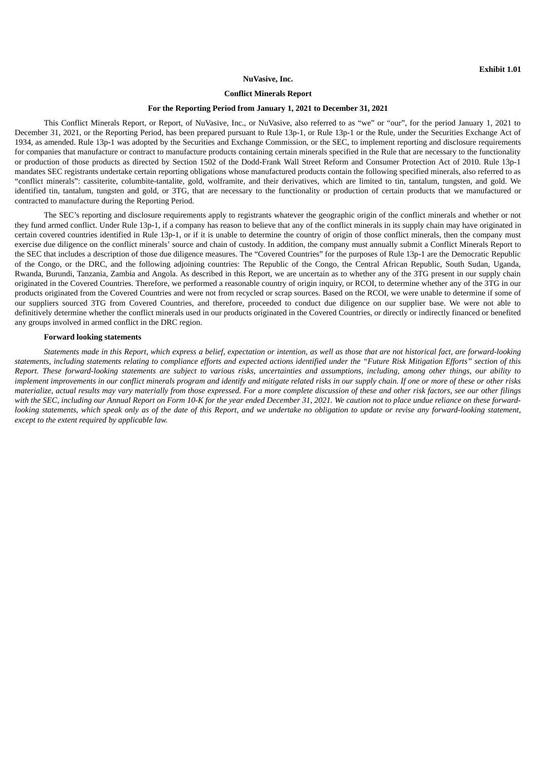#### **NuVasive, Inc.**

#### **Conflict Minerals Report**

#### **For the Reporting Period from January 1, 2021 to December 31, 2021**

<span id="page-3-0"></span>This Conflict Minerals Report, or Report, of NuVasive, Inc., or NuVasive, also referred to as "we" or "our", for the period January 1, 2021 to December 31, 2021, or the Reporting Period, has been prepared pursuant to Rule 13p-1, or Rule 13p-1 or the Rule, under the Securities Exchange Act of 1934, as amended. Rule 13p-1 was adopted by the Securities and Exchange Commission, or the SEC, to implement reporting and disclosure requirements for companies that manufacture or contract to manufacture products containing certain minerals specified in the Rule that are necessary to the functionality or production of those products as directed by Section 1502 of the Dodd-Frank Wall Street Reform and Consumer Protection Act of 2010. Rule 13p-1 mandates SEC registrants undertake certain reporting obligations whose manufactured products contain the following specified minerals, also referred to as "conflict minerals": cassiterite, columbite-tantalite, gold, wolframite, and their derivatives, which are limited to tin, tantalum, tungsten, and gold. We identified tin, tantalum, tungsten and gold, or 3TG, that are necessary to the functionality or production of certain products that we manufactured or contracted to manufacture during the Reporting Period.

The SEC's reporting and disclosure requirements apply to registrants whatever the geographic origin of the conflict minerals and whether or not they fund armed conflict. Under Rule 13p-1, if a company has reason to believe that any of the conflict minerals in its supply chain may have originated in certain covered countries identified in Rule 13p-1, or if it is unable to determine the country of origin of those conflict minerals, then the company must exercise due diligence on the conflict minerals' source and chain of custody. In addition, the company must annually submit a Conflict Minerals Report to the SEC that includes a description of those due diligence measures. The "Covered Countries" for the purposes of Rule 13p-1 are the Democratic Republic of the Congo, or the DRC, and the following adjoining countries: The Republic of the Congo, the Central African Republic, South Sudan, Uganda, Rwanda, Burundi, Tanzania, Zambia and Angola. As described in this Report, we are uncertain as to whether any of the 3TG present in our supply chain originated in the Covered Countries. Therefore, we performed a reasonable country of origin inquiry, or RCOI, to determine whether any of the 3TG in our products originated from the Covered Countries and were not from recycled or scrap sources. Based on the RCOI, we were unable to determine if some of our suppliers sourced 3TG from Covered Countries, and therefore, proceeded to conduct due diligence on our supplier base. We were not able to definitively determine whether the conflict minerals used in our products originated in the Covered Countries, or directly or indirectly financed or benefited any groups involved in armed conflict in the DRC region.

#### **Forward looking statements**

Statements made in this Report, which express a belief, expectation or intention, as well as those that are not historical fact, are forward-lookina statements, including statements relating to compliance efforts and expected actions identified under the "Future Risk Mitigation Efforts" section of this Report. These forward-looking statements are subject to various risks, uncertainties and assumptions, including, among other things, our ability to implement improvements in our conflict minerals program and identify and mitigate related risks in our supply chain. If one or more of these or other risks materialize, actual results may vary materially from those expressed. For a more complete discussion of these and other risk factors, see our other filings with the SEC, including our Annual Report on Form 10-K for the year ended December 31, 2021. We caution not to place undue reliance on these forwardlooking statements, which speak only as of the date of this Report, and we undertake no obligation to update or revise any forward-looking statement, *except to the extent required by applicable law.*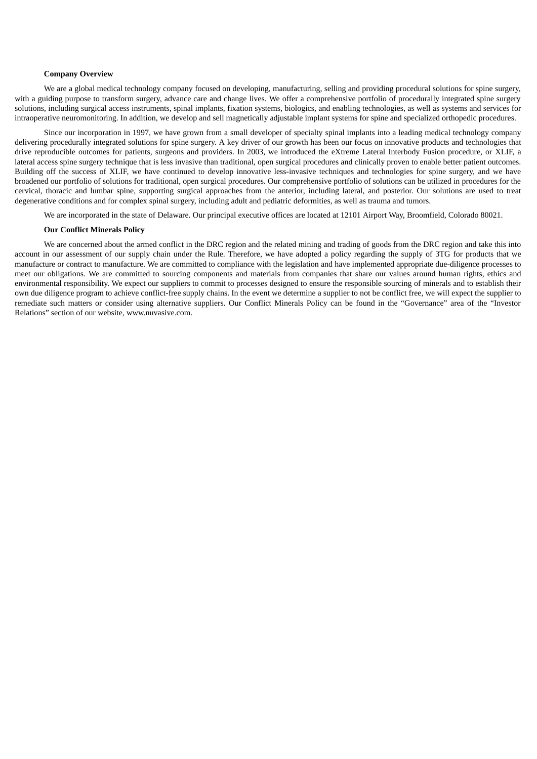#### **Company Overview**

We are a global medical technology company focused on developing, manufacturing, selling and providing procedural solutions for spine surgery, with a guiding purpose to transform surgery, advance care and change lives. We offer a comprehensive portfolio of procedurally integrated spine surgery solutions, including surgical access instruments, spinal implants, fixation systems, biologics, and enabling technologies, as well as systems and services for intraoperative neuromonitoring. In addition, we develop and sell magnetically adjustable implant systems for spine and specialized orthopedic procedures.

Since our incorporation in 1997, we have grown from a small developer of specialty spinal implants into a leading medical technology company delivering procedurally integrated solutions for spine surgery. A key driver of our growth has been our focus on innovative products and technologies that drive reproducible outcomes for patients, surgeons and providers. In 2003, we introduced the eXtreme Lateral Interbody Fusion procedure, or XLIF, a lateral access spine surgery technique that is less invasive than traditional, open surgical procedures and clinically proven to enable better patient outcomes. Building off the success of XLIF, we have continued to develop innovative less-invasive techniques and technologies for spine surgery, and we have broadened our portfolio of solutions for traditional, open surgical procedures. Our comprehensive portfolio of solutions can be utilized in procedures for the cervical, thoracic and lumbar spine, supporting surgical approaches from the anterior, including lateral, and posterior. Our solutions are used to treat degenerative conditions and for complex spinal surgery, including adult and pediatric deformities, as well as trauma and tumors.

We are incorporated in the state of Delaware. Our principal executive offices are located at 12101 Airport Way, Broomfield, Colorado 80021.

#### **Our Conflict Minerals Policy**

We are concerned about the armed conflict in the DRC region and the related mining and trading of goods from the DRC region and take this into account in our assessment of our supply chain under the Rule. Therefore, we have adopted a policy regarding the supply of 3TG for products that we manufacture or contract to manufacture. We are committed to compliance with the legislation and have implemented appropriate due-diligence processes to meet our obligations. We are committed to sourcing components and materials from companies that share our values around human rights, ethics and environmental responsibility. We expect our suppliers to commit to processes designed to ensure the responsible sourcing of minerals and to establish their own due diligence program to achieve conflict-free supply chains. In the event we determine a supplier to not be conflict free, we will expect the supplier to remediate such matters or consider using alternative suppliers. Our Conflict Minerals Policy can be found in the "Governance" area of the "Investor Relations" section of our website, www.nuvasive.com.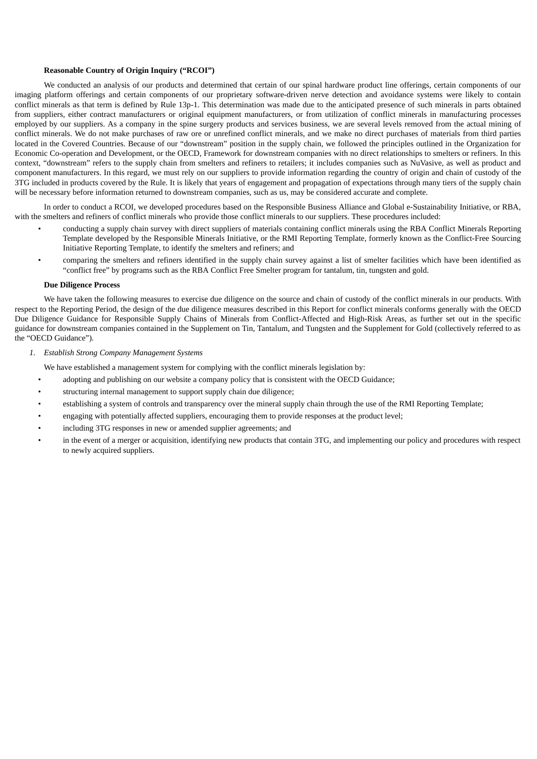#### **Reasonable Country of Origin Inquiry ("RCOI")**

We conducted an analysis of our products and determined that certain of our spinal hardware product line offerings, certain components of our imaging platform offerings and certain components of our proprietary software-driven nerve detection and avoidance systems were likely to contain conflict minerals as that term is defined by Rule 13p-1. This determination was made due to the anticipated presence of such minerals in parts obtained from suppliers, either contract manufacturers or original equipment manufacturers, or from utilization of conflict minerals in manufacturing processes employed by our suppliers. As a company in the spine surgery products and services business, we are several levels removed from the actual mining of conflict minerals. We do not make purchases of raw ore or unrefined conflict minerals, and we make no direct purchases of materials from third parties located in the Covered Countries. Because of our "downstream" position in the supply chain, we followed the principles outlined in the Organization for Economic Co-operation and Development, or the OECD, Framework for downstream companies with no direct relationships to smelters or refiners. In this context, "downstream" refers to the supply chain from smelters and refiners to retailers; it includes companies such as NuVasive, as well as product and component manufacturers. In this regard, we must rely on our suppliers to provide information regarding the country of origin and chain of custody of the 3TG included in products covered by the Rule. It is likely that years of engagement and propagation of expectations through many tiers of the supply chain will be necessary before information returned to downstream companies, such as us, may be considered accurate and complete.

In order to conduct a RCOI, we developed procedures based on the Responsible Business Alliance and Global e-Sustainability Initiative, or RBA, with the smelters and refiners of conflict minerals who provide those conflict minerals to our suppliers. These procedures included:

- conducting a supply chain survey with direct suppliers of materials containing conflict minerals using the RBA Conflict Minerals Reporting Template developed by the Responsible Minerals Initiative, or the RMI Reporting Template, formerly known as the Conflict-Free Sourcing Initiative Reporting Template, to identify the smelters and refiners; and
- comparing the smelters and refiners identified in the supply chain survey against a list of smelter facilities which have been identified as "conflict free" by programs such as the RBA Conflict Free Smelter program for tantalum, tin, tungsten and gold.

#### **Due Diligence Process**

We have taken the following measures to exercise due diligence on the source and chain of custody of the conflict minerals in our products. With respect to the Reporting Period, the design of the due diligence measures described in this Report for conflict minerals conforms generally with the OECD Due Diligence Guidance for Responsible Supply Chains of Minerals from Conflict-Affected and High-Risk Areas, as further set out in the specific guidance for downstream companies contained in the Supplement on Tin, Tantalum, and Tungsten and the Supplement for Gold (collectively referred to as the "OECD Guidance").

*1. Establish Strong Company Management Systems*

We have established a management system for complying with the conflict minerals legislation by:

- adopting and publishing on our website a company policy that is consistent with the OECD Guidance;
- structuring internal management to support supply chain due diligence;
- establishing a system of controls and transparency over the mineral supply chain through the use of the RMI Reporting Template;
- engaging with potentially affected suppliers, encouraging them to provide responses at the product level;
- including 3TG responses in new or amended supplier agreements; and
- in the event of a merger or acquisition, identifying new products that contain 3TG, and implementing our policy and procedures with respect to newly acquired suppliers.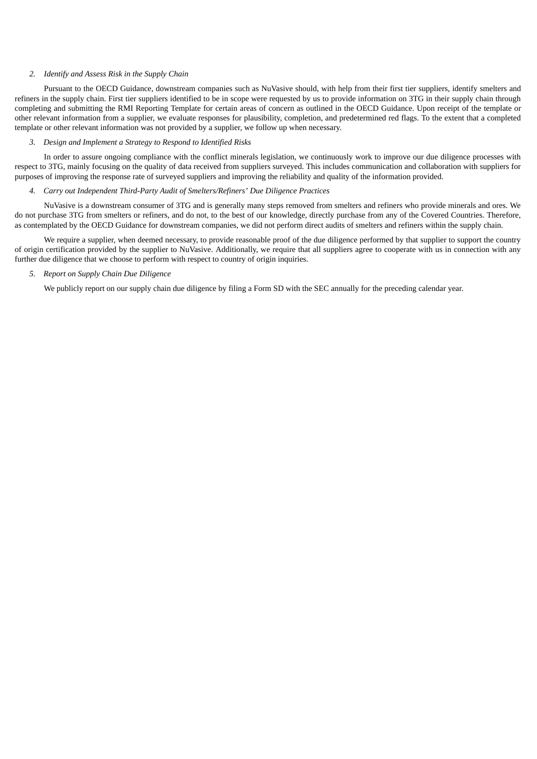#### *2. Identify and Assess Risk in the Supply Chain*

Pursuant to the OECD Guidance, downstream companies such as NuVasive should, with help from their first tier suppliers, identify smelters and refiners in the supply chain. First tier suppliers identified to be in scope were requested by us to provide information on 3TG in their supply chain through completing and submitting the RMI Reporting Template for certain areas of concern as outlined in the OECD Guidance. Upon receipt of the template or other relevant information from a supplier, we evaluate responses for plausibility, completion, and predetermined red flags. To the extent that a completed template or other relevant information was not provided by a supplier, we follow up when necessary.

# *3. Design and Implement a Strategy to Respond to Identified Risks*

In order to assure ongoing compliance with the conflict minerals legislation, we continuously work to improve our due diligence processes with respect to 3TG, mainly focusing on the quality of data received from suppliers surveyed. This includes communication and collaboration with suppliers for purposes of improving the response rate of surveyed suppliers and improving the reliability and quality of the information provided.

#### *4. Carry out Independent Third-Party Audit of Smelters/Refiners' Due Diligence Practices*

NuVasive is a downstream consumer of 3TG and is generally many steps removed from smelters and refiners who provide minerals and ores. We do not purchase 3TG from smelters or refiners, and do not, to the best of our knowledge, directly purchase from any of the Covered Countries. Therefore, as contemplated by the OECD Guidance for downstream companies, we did not perform direct audits of smelters and refiners within the supply chain.

We require a supplier, when deemed necessary, to provide reasonable proof of the due diligence performed by that supplier to support the country of origin certification provided by the supplier to NuVasive. Additionally, we require that all suppliers agree to cooperate with us in connection with any further due diligence that we choose to perform with respect to country of origin inquiries.

# *5. Report on Supply Chain Due Diligence*

We publicly report on our supply chain due diligence by filing a Form SD with the SEC annually for the preceding calendar year.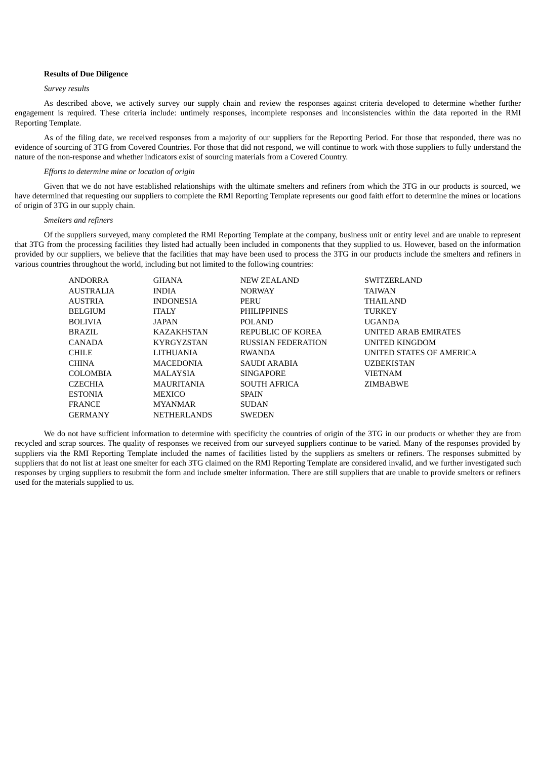## **Results of Due Diligence**

#### *Survey results*

As described above, we actively survey our supply chain and review the responses against criteria developed to determine whether further engagement is required. These criteria include: untimely responses, incomplete responses and inconsistencies within the data reported in the RMI Reporting Template.

As of the filing date, we received responses from a majority of our suppliers for the Reporting Period. For those that responded, there was no evidence of sourcing of 3TG from Covered Countries. For those that did not respond, we will continue to work with those suppliers to fully understand the nature of the non-response and whether indicators exist of sourcing materials from a Covered Country.

#### *Efforts to determine mine or location of origin*

Given that we do not have established relationships with the ultimate smelters and refiners from which the 3TG in our products is sourced, we have determined that requesting our suppliers to complete the RMI Reporting Template represents our good faith effort to determine the mines or locations of origin of 3TG in our supply chain.

#### *Smelters and refiners*

Of the suppliers surveyed, many completed the RMI Reporting Template at the company, business unit or entity level and are unable to represent that 3TG from the processing facilities they listed had actually been included in components that they supplied to us. However, based on the information provided by our suppliers, we believe that the facilities that may have been used to process the 3TG in our products include the smelters and refiners in various countries throughout the world, including but not limited to the following countries:

| ANDORRA   | <b>GHANA</b>       | NEW ZEALAND               | <b>SWITZERLAND</b>       |
|-----------|--------------------|---------------------------|--------------------------|
| AUSTRALIA | <b>INDIA</b>       | <b>NORWAY</b>             | <b>TAIWAN</b>            |
| AUSTRIA   | <b>INDONESIA</b>   | PERU                      | <b>THAILAND</b>          |
| BELGIUM   | ITALY              | <b>PHILIPPINES</b>        | <b>TURKEY</b>            |
| BOLIVIA   | JAPAN              | POLAND                    | <b>UGANDA</b>            |
| BRAZIL    | <b>KAZAKHSTAN</b>  | REPUBLIC OF KOREA         | UNITED ARAB EMIRATES     |
| CANADA    | <b>KYRGYZSTAN</b>  | <b>RUSSIAN FEDERATION</b> | UNITED KINGDOM           |
| CHILE     | LITHUANIA          | RWANDA                    | UNITED STATES OF AMERICA |
| CHINA     | <b>MACEDONIA</b>   | SAUDI ARABIA              | <b>UZBEKISTAN</b>        |
| COLOMBIA  | MALAYSIA           | <b>SINGAPORE</b>          | <b>VIETNAM</b>           |
| CZECHIA   | <b>MAURITANIA</b>  | <b>SOUTH AFRICA</b>       | ZIMBABWE                 |
| ESTONIA   | MEXICO             | <b>SPAIN</b>              |                          |
| FRANCE    | <b>MYANMAR</b>     | <b>SUDAN</b>              |                          |
| GERMANY   | <b>NETHERLANDS</b> | <b>SWEDEN</b>             |                          |

We do not have sufficient information to determine with specificity the countries of origin of the 3TG in our products or whether they are from recycled and scrap sources. The quality of responses we received from our surveyed suppliers continue to be varied. Many of the responses provided by suppliers via the RMI Reporting Template included the names of facilities listed by the suppliers as smelters or refiners. The responses submitted by suppliers that do not list at least one smelter for each 3TG claimed on the RMI Reporting Template are considered invalid, and we further investigated such responses by urging suppliers to resubmit the form and include smelter information. There are still suppliers that are unable to provide smelters or refiners used for the materials supplied to us.